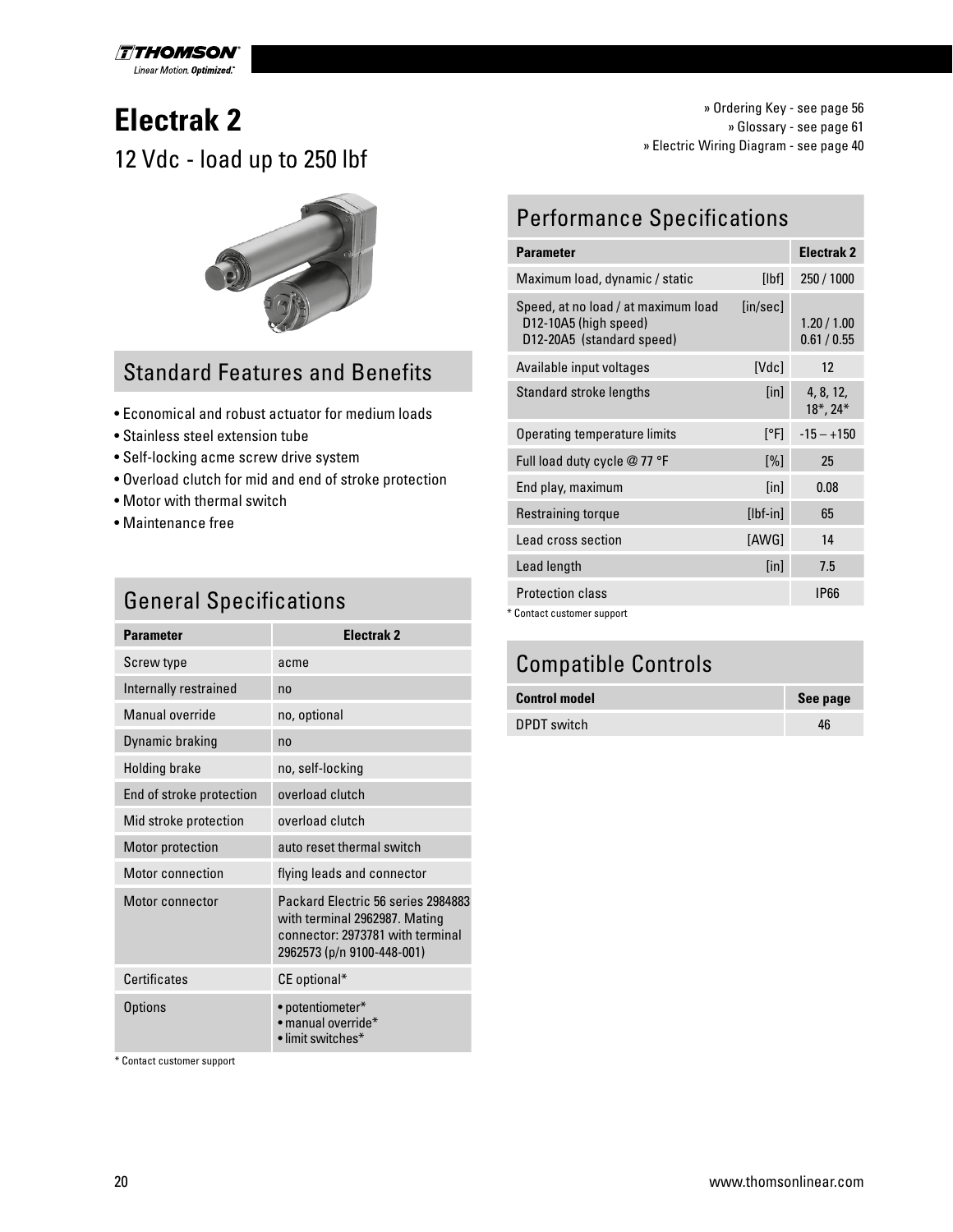

# **Electrak 2** 12 Vdc - load up to 250 lbf



#### Standard Features and Benefits

- Economical and robust actuator for medium loads
- Stainless steel extension tube
- Self-locking acme screw drive system
- Overload clutch for mid and end of stroke protection
- Motor with thermal switch
- Maintenance free

#### **General Specifications**

| <b>Parameter</b>         | Flectrak <sub>2</sub>                                                                                                                 |
|--------------------------|---------------------------------------------------------------------------------------------------------------------------------------|
| Screw type               | acme                                                                                                                                  |
| Internally restrained    | no                                                                                                                                    |
| Manual override          | no, optional                                                                                                                          |
| Dynamic braking          | no                                                                                                                                    |
| <b>Holding brake</b>     | no, self-locking                                                                                                                      |
| End of stroke protection | overload clutch                                                                                                                       |
| Mid stroke protection    | overload clutch                                                                                                                       |
| Motor protection         | auto reset thermal switch                                                                                                             |
| Motor connection         | flying leads and connector                                                                                                            |
| Motor connector          | Packard Flectric 56 series 2984883<br>with terminal 2962987. Mating<br>connector: 2973781 with terminal<br>2962573 (p/n 9100-448-001) |
| Certificates             | CE optional*                                                                                                                          |
| Options                  | • potentiometer*<br>· manual override*<br>• limit switches*                                                                           |

\* Contact customer support

» Ordering Key - see page 56 » Glossary - see page 61 » Electric Wiring Diagram - see page 40

#### Performance Specifications

| <b>Parameter</b>                                                                          |                             | <b>Electrak 2</b>            |
|-------------------------------------------------------------------------------------------|-----------------------------|------------------------------|
| Maximum load, dynamic / static                                                            | [Ibf]                       | 250 / 1000                   |
| Speed, at no load / at maximum load<br>D12-10A5 (high speed)<br>D12-20A5 (standard speed) | [in/sec]                    | 1.20 / 1.00<br>0.61/0.55     |
| Available input voltages                                                                  | [Vdc]                       | 12                           |
| Standard stroke lengths                                                                   | [in]                        | 4, 8, 12,<br>$18^*$ , $24^*$ |
| Operating temperature limits                                                              | [°F]                        | $-15 - +150$                 |
| Full load duty cycle @ 77 °F                                                              | $[\%]$                      | 25                           |
| End play, maximum                                                                         | $\lceil \mathsf{in} \rceil$ | 0.08                         |
| Restraining torque                                                                        | $[Ibf-in]$                  | 65                           |
| Lead cross section                                                                        | [AWG]                       | 14                           |
| Lead length                                                                               | $[$ in]                     | 7.5                          |
| <b>Protection class</b>                                                                   |                             | <b>IP66</b>                  |
| * Contact customer support                                                                |                             |                              |

#### Compatible Controls

| <b>Control model</b> | See page |
|----------------------|----------|
| DPDT switch          | 46       |